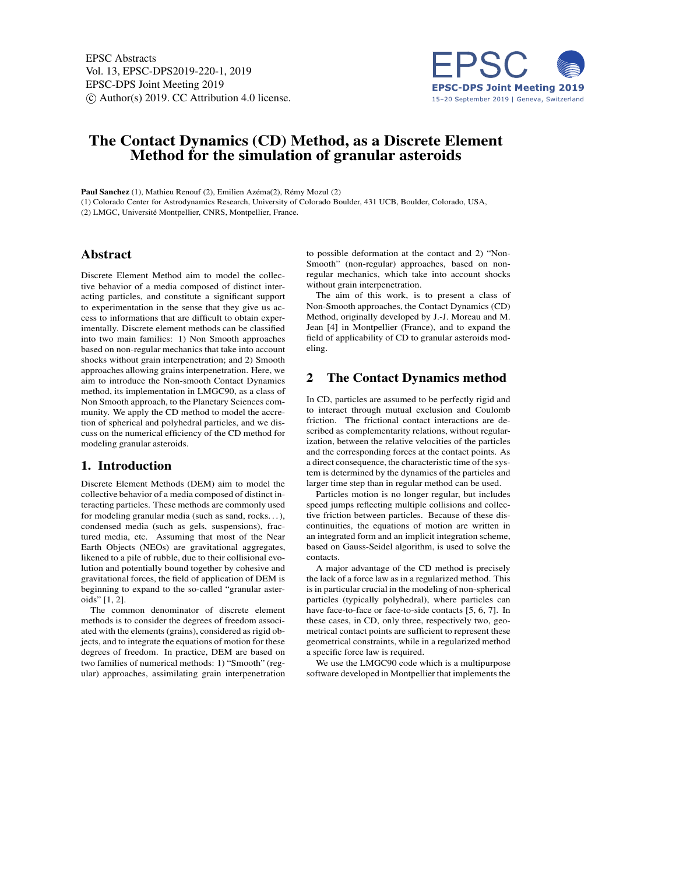EPSC Abstracts Vol. 13, EPSC-DPS2019-220-1, 2019 EPSC-DPS Joint Meeting 2019  $\circ$  Author(s) 2019. CC Attribution 4.0 license.



# The Contact Dynamics (CD) Method, as a Discrete Element Method for the simulation of granular asteroids

Paul Sanchez (1), Mathieu Renouf (2), Emilien Azéma(2), Rémy Mozul (2) (1) Colorado Center for Astrodynamics Research, University of Colorado Boulder, 431 UCB, Boulder, Colorado, USA, (2) LMGC, Université Montpellier, CNRS, Montpellier, France.

# Abstract

Discrete Element Method aim to model the collective behavior of a media composed of distinct interacting particles, and constitute a significant support to experimentation in the sense that they give us access to informations that are difficult to obtain experimentally. Discrete element methods can be classified into two main families: 1) Non Smooth approaches based on non-regular mechanics that take into account shocks without grain interpenetration; and 2) Smooth approaches allowing grains interpenetration. Here, we aim to introduce the Non-smooth Contact Dynamics method, its implementation in LMGC90, as a class of Non Smooth approach, to the Planetary Sciences community. We apply the CD method to model the accretion of spherical and polyhedral particles, and we discuss on the numerical efficiency of the CD method for modeling granular asteroids.

# 1. Introduction

Discrete Element Methods (DEM) aim to model the collective behavior of a media composed of distinct interacting particles. These methods are commonly used for modeling granular media (such as sand, rocks. . . ), condensed media (such as gels, suspensions), fractured media, etc. Assuming that most of the Near Earth Objects (NEOs) are gravitational aggregates, likened to a pile of rubble, due to their collisional evolution and potentially bound together by cohesive and gravitational forces, the field of application of DEM is beginning to expand to the so-called "granular asteroids" [1, 2].

The common denominator of discrete element methods is to consider the degrees of freedom associated with the elements (grains), considered as rigid objects, and to integrate the equations of motion for these degrees of freedom. In practice, DEM are based on two families of numerical methods: 1) "Smooth" (regular) approaches, assimilating grain interpenetration to possible deformation at the contact and 2) "Non-Smooth" (non-regular) approaches, based on nonregular mechanics, which take into account shocks without grain interpenetration.

The aim of this work, is to present a class of Non-Smooth approaches, the Contact Dynamics (CD) Method, originally developed by J.-J. Moreau and M. Jean [4] in Montpellier (France), and to expand the field of applicability of CD to granular asteroids modeling.

#### 2 The Contact Dynamics method

In CD, particles are assumed to be perfectly rigid and to interact through mutual exclusion and Coulomb friction. The frictional contact interactions are described as complementarity relations, without regularization, between the relative velocities of the particles and the corresponding forces at the contact points. As a direct consequence, the characteristic time of the system is determined by the dynamics of the particles and larger time step than in regular method can be used.

Particles motion is no longer regular, but includes speed jumps reflecting multiple collisions and collective friction between particles. Because of these discontinuities, the equations of motion are written in an integrated form and an implicit integration scheme, based on Gauss-Seidel algorithm, is used to solve the contacts.

A major advantage of the CD method is precisely the lack of a force law as in a regularized method. This is in particular crucial in the modeling of non-spherical particles (typically polyhedral), where particles can have face-to-face or face-to-side contacts [5, 6, 7]. In these cases, in CD, only three, respectively two, geometrical contact points are sufficient to represent these geometrical constraints, while in a regularized method a specific force law is required.

We use the LMGC90 code which is a multipurpose software developed in Montpellier that implements the